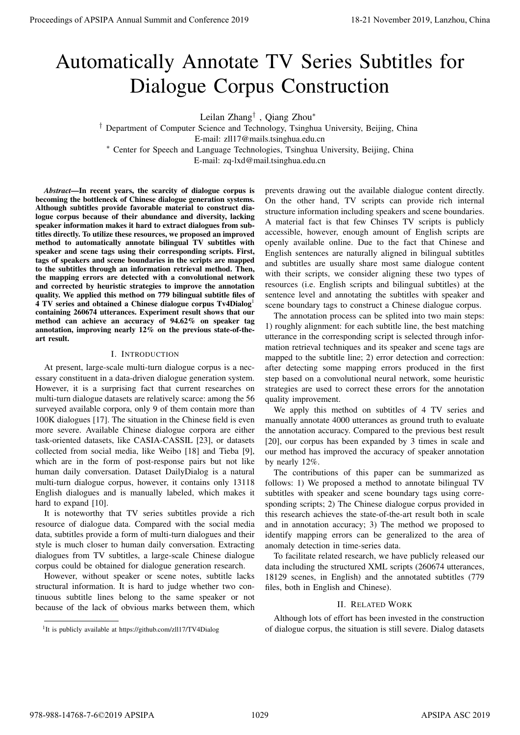# Automatically Annotate TV Series Subtitles for Dialogue Corpus Construction

Leilan Zhang† , Qiang Zhou<sup>∗</sup>

† Department of Computer Science and Technology, Tsinghua University, Beijing, China E-mail: zll17@mails.tsinghua.edu.cn <sup>∗</sup> Center for Speech and Language Technologies, Tsinghua University, Beijing, China

E-mail: zq-lxd@mail.tsinghua.edu.cn

*Abstract*—In recent years, the scarcity of dialogue corpus is becoming the bottleneck of Chinese dialogue generation systems. Although subtitles provide favorable material to construct dialogue corpus because of their abundance and diversity, lacking speaker information makes it hard to extract dialogues from subtitles directly. To utilize these resources, we proposed an improved method to automatically annotate bilingual TV subtitles with speaker and scene tags using their corresponding scripts. First, tags of speakers and scene boundaries in the scripts are mapped to the subtitles through an information retrieval method. Then, the mapping errors are detected with a convolutional network and corrected by heuristic strategies to improve the annotation quality. We applied this method on 779 bilingual subtitle files of 4 TV series and obtained a Chinese dialogue corpus Tv4Dialog<sup>1</sup> containing 260674 utterances. Experiment result shows that our method can achieve an accuracy of 94.62% on speaker tag annotation, improving nearly 12% on the previous state-of-theart result. **Proceedings of APSIPA Annual Summit at China 978-988-14768**<br> **Altomatically Annotate TV Series Substitution**<br>
Proceeding the conference 2018 Construction in the conference 2018 Construction in the conference 2018 Constru

## I. INTRODUCTION

At present, large-scale multi-turn dialogue corpus is a necessary constituent in a data-driven dialogue generation system. However, it is a surprising fact that current researches on multi-turn dialogue datasets are relatively scarce: among the 56 surveyed available corpora, only 9 of them contain more than 100K dialogues [17]. The situation in the Chinese field is even more severe. Available Chinese dialogue corpora are either task-oriented datasets, like CASIA-CASSIL [23], or datasets collected from social media, like Weibo [18] and Tieba [9], which are in the form of post-response pairs but not like human daily conversation. Dataset DailyDialog is a natural multi-turn dialogue corpus, however, it contains only 13118 English dialogues and is manually labeled, which makes it hard to expand [10].

It is noteworthy that TV series subtitles provide a rich resource of dialogue data. Compared with the social media data, subtitles provide a form of multi-turn dialogues and their style is much closer to human daily conversation. Extracting dialogues from TV subtitles, a large-scale Chinese dialogue corpus could be obtained for dialogue generation research.

However, without speaker or scene notes, subtitle lacks structural information. It is hard to judge whether two continuous subtitle lines belong to the same speaker or not because of the lack of obvious marks between them, which prevents drawing out the available dialogue content directly. On the other hand, TV scripts can provide rich internal structure information including speakers and scene boundaries. A material fact is that few Chinses TV scripts is publicly accessible, however, enough amount of English scripts are openly available online. Due to the fact that Chinese and English sentences are naturally aligned in bilingual subtitles and subtitles are usually share most same dialogue content with their scripts, we consider aligning these two types of resources (i.e. English scripts and bilingual subtitles) at the sentence level and annotating the subtitles with speaker and scene boundary tags to construct a Chinese dialogue corpus.

The annotation process can be splited into two main steps: 1) roughly alignment: for each subtitle line, the best matching utterance in the corresponding script is selected through information retrieval techniques and its speaker and scene tags are mapped to the subtitle line; 2) error detection and correction: after detecting some mapping errors produced in the first step based on a convolutional neural network, some heuristic strategies are used to correct these errors for the annotation quality improvement.

We apply this method on subtitles of 4 TV series and manually annotate 4000 utterances as ground truth to evaluate the annotation accuracy. Compared to the previous best result [20], our corpus has been expanded by 3 times in scale and our method has improved the accuracy of speaker annotation by nearly 12%.

The contributions of this paper can be summarized as follows: 1) We proposed a method to annotate bilingual TV subtitles with speaker and scene boundary tags using corresponding scripts; 2) The Chinese dialogue corpus provided in this research achieves the state-of-the-art result both in scale and in annotation accuracy; 3) The method we proposed to identify mapping errors can be generalized to the area of anomaly detection in time-series data.

To facilitate related research, we have publicly released our data including the structured XML scripts (260674 utterances, 18129 scenes, in English) and the annotated subtitles (779 files, both in English and Chinese).

# II. RELATED WORK

Although lots of effort has been invested in the construction of dialogue corpus, the situation is still severe. Dialog datasets

<sup>&</sup>lt;sup>1</sup>It is publicly available at https://github.com/zll17/TV4Dialog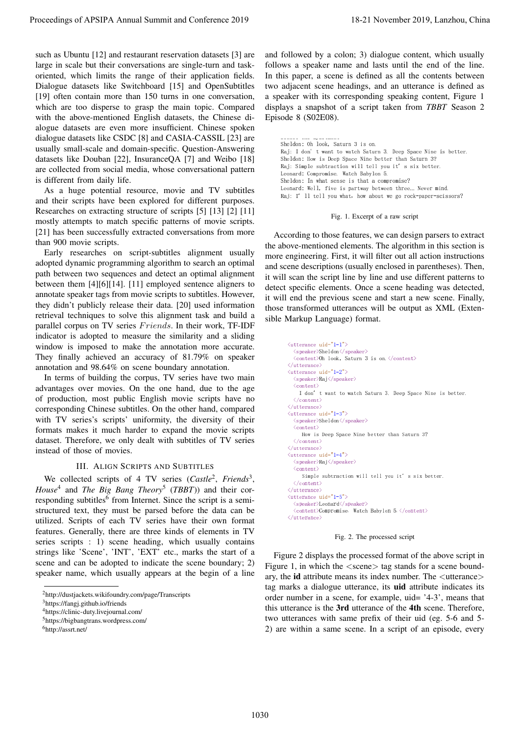such as Ubuntu [12] and restaurant reservation datasets [3] are large in scale but their conversations are single-turn and taskoriented, which limits the range of their application fields. Dialogue datasets like Switchboard [15] and OpenSubtitles [19] often contain more than 150 turns in one conversation, which are too disperse to grasp the main topic. Compared with the above-mentioned English datasets, the Chinese dialogue datasets are even more insufficient. Chinese spoken dialogue datasets like CSDC [8] and CASIA-CASSIL [23] are usually small-scale and domain-specific. Question-Answering datasets like Douban [22], InsuranceQA [7] and Weibo [18] are collected from social media, whose conversational pattern is different from daily life.

As a huge potential resource, movie and TV subtitles and their scripts have been explored for different purposes. Researches on extracting structure of scripts [5] [13] [2] [11] mostly attempts to match specific patterns of movie scripts. [21] has been successfully extracted conversations from more than 900 movie scripts.

Early researches on script-subtitles alignment usually adopted dynamic programming algorithm to search an optimal path between two sequences and detect an optimal alignment between them [4][6][14]. [11] employed sentence aligners to annotate speaker tags from movie scripts to subtitles. However, they didn't publicly release their data. [20] used information retrieval techniques to solve this alignment task and build a parallel corpus on TV series Friends. In their work, TF-IDF indicator is adopted to measure the similarity and a sliding window is imposed to make the annotation more accurate. They finally achieved an accuracy of 81.79% on speaker annotation and 98.64% on scene boundary annotation.

In terms of building the corpus, TV series have two main advantages over movies. On the one hand, due to the age of production, most public English movie scripts have no corresponding Chinese subtitles. On the other hand, compared with TV series's scripts' uniformity, the diversity of their formats makes it much harder to expand the movie scripts dataset. Therefore, we only dealt with subtitles of TV series instead of those of movies.

## III. ALIGN SCRIPTS AND SUBTITLES

We collected scripts of 4 TV series (Castle<sup>2</sup>, Friends<sup>3</sup>, *House*<sup>4</sup> and *The Big Bang Theory*<sup>5</sup> (*TBBT*)) and their corresponding subtitles<sup>6</sup> from Internet. Since the script is a semistructured text, they must be parsed before the data can be utilized. Scripts of each TV series have their own format features. Generally, there are three kinds of elements in TV series scripts : 1) scene heading, which usually contains strings like 'Scene', 'INT', 'EXT' etc., marks the start of a scene and can be adopted to indicate the scene boundary; 2) speaker name, which usually appears at the begin of a line

and followed by a colon; 3) dialogue content, which usually follows a speaker name and lasts until the end of the line. In this paper, a scene is defined as all the contents between two adjacent scene headings, and an utterance is defined as a speaker with its corresponding speaking content, Figure 1 displays a snapshot of a script taken from *TBBT* Season 2 Episode 8 (S02E08).

Sheldon: Oh look, Saturn 3 is on. 그 그 사람들은 그 사람들은 그 사람들은 그 사람들을 지르며 그 사람들을 지르며 그 사람들을 지르며 그 사람들을 지르며 그 사람들을 지르며 그 사람들을 지르며 그 사람들을 지르며 그 사람들을 지르며 . The contract of the contract of the contract of the contract of the contract of the contract of the contract of the contract of the contract of the contract of the contract of the contract of the contract of the contrac . The set of the set of the set of the set of the set of the set of the set of the set of the set of the set of the set of the set of the set of the set of the set of the set of the set of the set of the set of the set of Leonard: Compromise. Watch Babylon 5.    - !  $\blacksquare$  . The set of the set of the set of the set of the set of the set of the set of the set of the set of the set of the set of the set of the set of the set of the set of the set of the set of the set of the set of the  "   + -, ,-!

 

Fig. 1. Excerpt of a raw script

According to those features, we can design parsers to extract the above-mentioned elements. The algorithm in this section is more engineering. First, it will filter out all action instructions and scene descriptions (usually enclosed in parentheses). Then, it will scan the script line by line and use different patterns to detect specific elements. Once a scene heading was detected, it will end the previous scene and start a new scene. Finally, those transformed utterances will be output as XML (Extensible Markup Language) format.

```
\langleutterance uid="1-1">
                                                                                                                                                                                \frac{1}{2} \frac{1}{2} \frac{1}{2} \frac{1}{2} \frac{1}{2} \frac{1}{2} \frac{1}{2} \frac{1}{2} \frac{1}{2} \frac{1}{2} \frac{1}{2} \frac{1}{2} \frac{1}{2} \frac{1}{2} \frac{1}{2} \frac{1}{2} \frac{1}{2} \frac{1}{2} \frac{1}{2} \frac{1}{2} \frac{1}{2} \frac{1}{2} \langleutterance uid="1-2">
                                                                                                                                                                                recovered to the contract of the contract of the contract of the contract of the contract of the contract of the contract of the contract of the contract of the contract of the contract of the contract of the contract of t
                                                                                                                                                                                    . The contract of the contract of the contract of the contract of the contract of the contract of the contract of the contract of the contract of the contract of the contract of the contract of the contract of the contrac
                                                                                                                                                                                \langle/content>
                                                                                                                                                                            \langleutterance uid="1-3">
                                                                                                                                                                                -
-

                                                                                                                                                                                      where the contract of the contract of the contract of the contract of the contract of the contract of the contract of the contract of the contract of the contract of the contract of the contract of the contract of the cont
                                                                                                                                                                                \langle/content>
                                                                                                                                                                            \langleutterance uid="1-4">
                                                                                                                                                                                -
-

                                                                                                                                                                                      ( -

$ !  )
 -
 -
* $
                                                                                                                                                                                \langle/content>
                                                                                                                                                                            \langleutterance uid="1-5">
                                                                                                                                                                                    peaker>Leonard</speaker>
                                                                                                                                                                                <content>Compromise. Watch Babylon 5. </content>
Proceedings of APSIPA Annual Summit at China 2019 11.<br>
and the main three conference 2019 11. The main conference 2019 11. The main conference 2019 11. The main conference 2019 12. The main conference 2019 12. The main co
```


Figure 2 displays the processed format of the above script in Figure 1, in which the  $\langle$  scene $\rangle$  tag stands for a scene boundary, the id attribute means its index number. The <utterance> tag marks a dialogue utterance, its uid attribute indicates its order number in a scene, for example, uid= '4-3', means that this utterance is the 3rd utterance of the 4th scene. Therefore, two utterances with same prefix of their uid (eg. 5-6 and 5- 2) are within a same scene. In a script of an episode, every

<sup>2</sup>http://dustjackets.wikifoundry.com/page/Transcripts

<sup>3</sup>https://fangj.github.io/friends

<sup>4</sup>https://clinic-duty.livejournal.com/

<sup>5</sup>https://bigbangtrans.wordpress.com/

<sup>6</sup>http://assrt.net/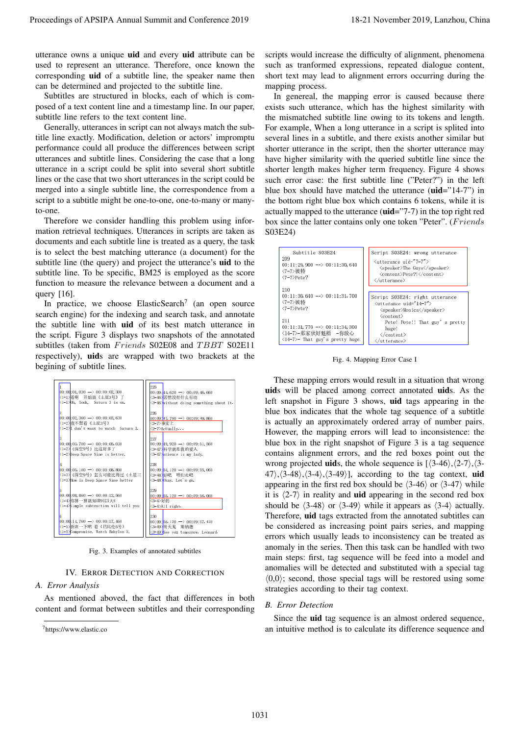utterance owns a unique uid and every uid attribute can be used to represent an utterance. Therefore, once known the corresponding uid of a subtitle line, the speaker name then can be determined and projected to the subtitle line.

Subtitles are structured in blocks, each of which is composed of a text content line and a timestamp line. In our paper, subtitle line refers to the text content line.

Generally, utterances in script can not always match the subtitle line exactly. Modification, deletion or actors' impromptu performance could all produce the differences between script utterances and subtitle lines. Considering the case that a long utterance in a script could be split into several short subtitle lines or the case that two short utterances in the script could be merged into a single subtitle line, the correspondence from a script to a subtitle might be one-to-one, one-to-many or manyto-one.

Therefore we consider handling this problem using information retrieval techniques. Utterances in scripts are taken as documents and each subtitle line is treated as a query, the task is to select the best matching utterance (a document) for the subtitle line (the query) and project the utterance's **uid** to the subtitle line. To be specific, BM25 is employed as the score function to measure the relevance between a document and a query [16].

In practice, we choose ElasticSearch<sup>7</sup> (an open source search engine) for the indexing and search task, and annotate the subtitle line with uid of its best match utterance in the script. Figure 3 displays two snapshots of the annotated subtitles (taken from Friends S02E08 and TBBT S02E11 respectively), uids are wrapped with two brackets at the begining of subtitle lines.



Fig. 3. Examples of annotated subtitles

## IV. ERROR DETECTION AND CORRECTION

## *A. Error Analysis*

As mentioned aboved, the fact that differences in both content and format between subtitles and their corresponding scripts would increase the difficulty of alignment, phenomena such as tranformed expressions, repeated dialogue content, short text may lead to alignment errors occurring during the mapping process.

In genereal, the mapping error is caused because there exists such utterance, which has the highest similarity with the mismatched subtitle line owing to its tokens and length. For example, When a long utterance in a script is splited into several lines in a subtitle, and there exists another similar but shorter utterance in the script, then the shorter utterance may have higher similarity with the queried subtitle line since the shorter length makes higher term frequency. Figure 4 shows such error case: the first subtitle line ("Peter?") in the left blue box should have matched the utterance (uid="14-7") in the bottom right blue box which contains 6 tokens, while it is actually mapped to the utterance (uid="7-7) in the top right red box since the latter contains only one token "Peter". (Friends S03E24)



Fig. 4. Mapping Error Case I

These mapping errors would result in a situation that wrong uids will be placed among correct annotated uids. As the left snapshot in Figure 3 shows, uid tags appearing in the blue box indicates that the whole tag sequence of a subtitle is actually an approximately ordered array of number pairs. However, the mapping errors will lead to inconsistence: the blue box in the right snapshot of Figure 3 is a tag sequence contains alignment errors, and the red boxes point out the wrong projected **uids**, the whole sequence is  $(\langle 3-46 \rangle, \langle 2-7 \rangle, \langle 3-7 \rangle)$  $47\rangle$ ,  $\langle 3-48\rangle$ ,  $\langle 3-4\rangle$ ,  $\langle 3-49\rangle$ ], according to the tag context, uid appearing in the first red box should be  $\langle 3-46 \rangle$  or  $\langle 3-47 \rangle$  while it is  $\langle 2-7 \rangle$  in reality and **uid** appearing in the second red box should be  $\langle 3-48 \rangle$  or  $\langle 3-49 \rangle$  while it appears as  $\langle 3-4 \rangle$  actually. Therefore, uid tags extracted from the annotated subtitles can be considered as increasing point pairs series, and mapping errors which usually leads to inconsistency can be treated as anomaly in the series. Then this task can be handled with two main steps: first, tag sequence will be feed into a model and anomalies will be detected and substituted with a special tag  $\langle 0,0 \rangle$ ; second, those special tags will be restored using some strategies according to their tag context. Procedure of APSIPA Annual Summit at the size of APSIPA Annual Summit and Conference 2019, Lanzhou, China 1031<br>
and the process an unitary Theoretic and Conference 2019, Lanzhou and Conference 2019, Lanzhou and Conference

## *B. Error Detection*

Since the uid tag sequence is an almost ordered sequence, an intuitive method is to calculate its difference sequence and

<sup>7</sup>https://www.elastic.co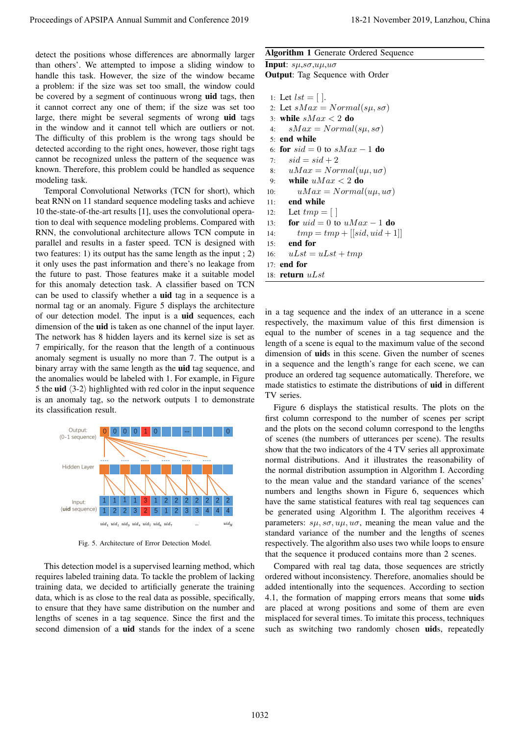detect the positions whose differences are abnormally larger than others'. We attempted to impose a sliding window to handle this task. However, the size of the window became a problem: if the size was set too small, the window could be covered by a segment of continuous wrong uid tags, then it cannot correct any one of them; if the size was set too large, there might be several segments of wrong uid tags in the window and it cannot tell which are outliers or not. The difficulty of this problem is the wrong tags should be detected according to the right ones, however, those right tags cannot be recognized unless the pattern of the sequence was known. Therefore, this problem could be handled as sequence modeling task.

Temporal Convolutional Networks (TCN for short), which beat RNN on 11 standard sequence modeling tasks and achieve 10 the-state-of-the-art results [1], uses the convolutional operation to deal with sequence modeling problems. Compared with RNN, the convolutional architecture allows TCN compute in parallel and results in a faster speed. TCN is designed with two features: 1) its output has the same length as the input ; 2) it only uses the past information and there's no leakage from the future to past. Those features make it a suitable model for this anomaly detection task. A classifier based on TCN can be used to classify whether a uid tag in a sequence is a normal tag or an anomaly. Figure 5 displays the architecture of our detection model. The input is a uid sequences, each dimension of the uid is taken as one channel of the input layer. The network has 8 hidden layers and its kernel size is set as 7 empirically, for the reason that the length of a continuous anomaly segment is usually no more than 7. The output is a binary array with the same length as the uid tag sequence, and the anomalies would be labeled with 1. For example, in Figure 5 the uid  $\langle 3-2 \rangle$  highlighted with red color in the input sequence is an anomaly tag, so the network outputs 1 to demonstrate its classification result. Proceeding of APSIPA Annual Summit at the Summit and Equation 1.12-13 November 2019 18-21 November 2019 2012 November 2019 2012 November 2019 2012 November 2019 2012 November 2019 2012 November 2019 2012 November 2019 201



Fig. 5. Architecture of Error Detection Model.

This detection model is a supervised learning method, which requires labeled training data. To tackle the problem of lacking training data, we decided to artificially generate the training data, which is as close to the real data as possible, specifically, to ensure that they have same distribution on the number and lengths of scenes in a tag sequence. Since the first and the second dimension of a **uid** stands for the index of a scene

# Algorithm 1 Generate Ordered Sequence

Input:  $s\mu$ ,  $s\sigma$ ,  $u\mu$ ,  $u\sigma$ Output: Tag Sequence with Order

1: Let  $lst = [$  |. 2: Let  $sMax = Normal(s\mu, s\sigma)$ 3: while  $sMax < 2$  do 4:  $sMax = Normal(s\mu, s\sigma)$ 5: end while 6: for  $sid = 0$  to  $sMax - 1$  do 7:  $sid = sid + 2$ 8:  $uMax = Normal(u\mu, u\sigma)$ 9: while  $uMax < 2$  do 10:  $uMax = Normal(u\mu, u\sigma)$ 11: end while 12: Let  $tmp = []$ 13: **for**  $uid = 0$  to  $uMax - 1$  **do** 14:  $tmp = tmp + [[sid,uid + 1]]$ 15: end for 16:  $uLst = uLst + tmp$ 17: end for 18: return  $uLst$ 

in a tag sequence and the index of an utterance in a scene respectively, the maximum value of this first dimension is equal to the number of scenes in a tag sequence and the length of a scene is equal to the maximum value of the second dimension of **uids** in this scene. Given the number of scenes in a sequence and the length's range for each scene, we can produce an ordered tag sequence automatically. Therefore, we made statistics to estimate the distributions of uid in different TV series.

parameters:  $s\mu$ ,  $s\sigma$ ,  $u\mu$ ,  $u\sigma$ , meaning the mean value and the Figure 6 displays the statistical results. The plots on the first column correspond to the number of scenes per script and the plots on the second column correspond to the lengths of scenes (the numbers of utterances per scene). The results show that the two indicators of the 4 TV series all approximate normal distributions. And it illustrates the reasonability of the normal distribution assumption in Algorithm I. According to the mean value and the standard variance of the scenes' numbers and lengths shown in Figure 6, sequences which have the same statistical features with real tag sequences can be generated using Algorithm I. The algorithm receives 4 standard variance of the number and the lengths of scenes respectively. The algorithm also uses two while loops to ensure that the sequence it produced contains more than 2 scenes.

> Compared with real tag data, those sequences are strictly ordered without inconsistency. Therefore, anomalies should be added intentionally into the sequences. According to section 4.1, the formation of mapping errors means that some **uids** are placed at wrong positions and some of them are even misplaced for several times. To imitate this process, techniques such as switching two randomly chosen uids, repeatedly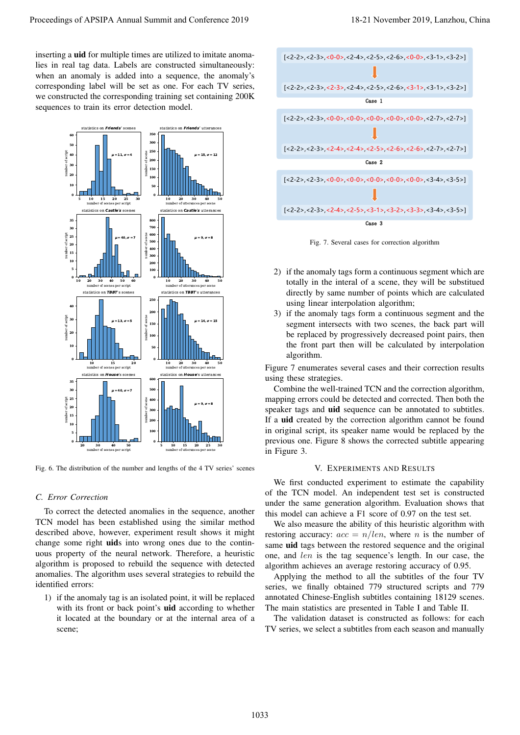inserting a uid for multiple times are utilized to imitate anomalies in real tag data. Labels are constructed simultaneously: when an anomaly is added into a sequence, the anomaly's corresponding label will be set as one. For each TV series, we constructed the corresponding training set containing 200K sequences to train its error detection model.



Fig. 6. The distribution of the number and lengths of the 4 TV series' scenes

## *C. Error Correction*

To correct the detected anomalies in the sequence, another TCN model has been established using the similar method described above, however, experiment result shows it might change some right uids into wrong ones due to the continuous property of the neural network. Therefore, a heuristic algorithm is proposed to rebuild the sequence with detected anomalies. The algorithm uses several strategies to rebuild the identified errors:

1) if the anomaly tag is an isolated point, it will be replaced with its front or back point's **uid** according to whether it located at the boundary or at the internal area of a



Fig. 7. Several cases for correction algorithm

- 2) if the anomaly tags form a continuous segment which are totally in the interal of a scene, they will be substitued directly by same number of points which are calculated using linear interpolation algorithm;
- 3) if the anomaly tags form a continuous segment and the segment intersects with two scenes, the back part will be replaced by progressively decreased point pairs, then the front part then will be calculated by interpolation algorithm.

Figure 7 enumerates several cases and their correction results using these strategies.

Combine the well-trained TCN and the correction algorithm, mapping errors could be detected and corrected. Then both the speaker tags and **uid** sequence can be annotated to subtitles. If a uid created by the correction algorithm cannot be found in original script, its speaker name would be replaced by the previous one. Figure 8 shows the corrected subtitle appearing in Figure 3.

## V. EXPERIMENTS AND RESULTS

We first conducted experiment to estimate the capability of the TCN model. An independent test set is constructed under the same generation algorithm. Evaluation shows that this model can achieve a F1 score of 0.97 on the test set.

We also measure the ability of this heuristic algorithm with restoring accuracy:  $acc = n/len$ , where *n* is the number of same uid tags between the restored sequence and the original one, and len is the tag sequence's length. In our case, the algorithm achieves an average restoring accuracy of 0.95.

Applying the method to all the subtitles of the four TV series, we finally obtained 779 structured scripts and 779 annotated Chinese-English subtitles containing 18129 scenes. The main statistics are presented in Table I and Table II.

The validation dataset is constructed as follows: for each TV series, we select a subtitles from each season and manually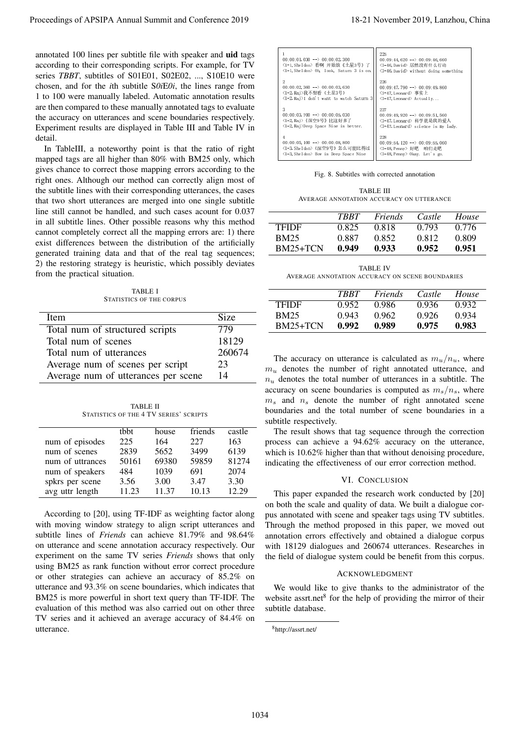annotated 100 lines per subtitle file with speaker and uid tags according to their corresponding scripts. For example, for TV series *TBBT*, subtitles of S01E01, S02E02, ..., S10E10 were chosen, and for the *i*th subtitle S*0i*E*0i*, the lines range from 1 to 100 were manually labeled. Automatic annotation results are then compared to these manually annotated tags to evaluate the accuracy on utterances and scene boundaries respectively. Experiment results are displayed in Table III and Table IV in detail.

In TableIII, a noteworthy point is that the ratio of right mapped tags are all higher than 80% with BM25 only, which gives chance to correct those mapping errors according to the right ones. Although our method can correctly align most of the subtitle lines with their corresponding utterances, the cases that two short utterances are merged into one single subtitle line still cannot be handled, and such cases acount for 0.037 in all subtitle lines. Other possible reasons why this method cannot completely correct all the mapping errors are: 1) there exist differences between the distribution of the artificially generated training data and that of the real tag sequences; 2) the restoring strategy is heuristic, which possibly deviates from the practical situation. Proceedings of APSIPA Annual Summit at Conference 2019<br>
account of the summit and conference 2019, and the summit and conference 2019 18-21 November 2019, and the summit and conference 2019, and the summit and conference

TABLE I STATISTICS OF THE CORPUS

| Item                                | Size   |
|-------------------------------------|--------|
| Total num of structured scripts     | 779    |
| Total num of scenes                 | 18129  |
| Total num of utterances             | 260674 |
| Average num of scenes per script    | 23     |
| Average num of utterances per scene | 14     |

TABLE II STATISTICS OF THE 4 TV SERIES' SCRIPTS

|                  | thht  | house | friends | castle |
|------------------|-------|-------|---------|--------|
| num of episodes  | 225   | 164   | 227     | 163    |
| num of scenes    | 2839  | 5652  | 3499    | 6139   |
| num of uttrances | 50161 | 69380 | 59859   | 81274  |
| num of speakers  | 484   | 1039  | 691     | 2074   |
| spkrs per scene  | 3.56  | 3.00  | 3.47    | 3.30   |
| avg uttr length  | 11.23 | 11.37 | 10.13   | 12.29  |

According to [20], using TF-IDF as weighting factor along with moving window strategy to align script utterances and subtitle lines of *Friends* can achieve 81.79% and 98.64% on utterance and scene annotation accuracy respectively. Our experiment on the same TV series *Friends* shows that only using BM25 as rank function without error correct procedure or other strategies can achieve an accuracy of 85.2% on utterance and 93.3% on scene boundaries, which indicates that BM25 is more powerful in short text query than TF-IDF. The evaluation of this method was also carried out on other three TV series and it achieved an average accuracy of 84.4% on utterance.

| $00:00:01.030 \longrightarrow 00:00:02.300$<br><1-1, She 1don> 看啊 开始放《土星3号》了<br>(1-1.Sheldon) Oh. look. Saturn 3 is on.   | 225<br>$00:09:44.620 \longrightarrow 00:09:46.660$<br>〈3-46, Davi d〉居然 没有什么行动<br><3-46, David> without doing something |  |
|---------------------------------------------------------------------------------------------------------------------------|------------------------------------------------------------------------------------------------------------------------|--|
| $00:00:02,360 \longrightarrow 00:00:03,630$<br>〈1-2, Raj〉我不想看《土星3号》<br><1-2, Rai>I don't want to watch Saturn 3           | 226<br>$00:09:47,790 \longrightarrow 00:09:49,860$<br><3-47.Leonard>事实上<br><3-47.Leonard> Actually                     |  |
| $00:00:03.700 \longrightarrow 00:00:05.030$<br>〈1-2,Raj〉《深空9号》 比这好多了<br>(1-2.Rai)Deep Space Nine is better.               | 227<br>$00:09:49.920 \longrightarrow 00:09:51.560$<br>〈3-47. Leonard〉科学就是我的爱人<br><3-47. Leonard> science is my lady.   |  |
| 4<br>$00:00:05,100 \longrightarrow 00:00:08,800$<br><1-3, She ldon>《深空9号》怎么可能比得过<br>≺1-3, Sheldon> How is Deep Space Nine | 228<br>$00:09:54.120 \longrightarrow 00:09:55.060$<br>〈3-48, Penny〉好吧 - 咱们走吧<br><3-48, Penny> Okay, Let's go.          |  |

#### Fig. 8. Subtitles with corrected annotation

TABLE III AVERAGE ANNOTATION ACCURACY ON UTTERANCE

|              | <b>TRRT</b> | Friends | Castle | House |
|--------------|-------------|---------|--------|-------|
| <b>TFIDE</b> | 0.825       | 0.818   | 0.793  | 0.776 |
| BM25         | 0.887       | 0.852   | 0.812  | 0.809 |
| $BM25+TCN$   | 0.949       | 0.933   | 0.952  | 0.951 |

TABLE IV AVERAGE ANNOTATION ACCURACY ON SCENE BOUNDARIES

|              | <b>TRRT</b> | Friends | Castle | House |
|--------------|-------------|---------|--------|-------|
| <b>TFIDE</b> | 0.952       | 0.986   | 0.936  | 0.932 |
| <b>BM25</b>  | 0.943       | 0.962   | 0.926  | 0.934 |
| BM25+TCN     | 0.992       | 0.989   | 0.975  | 0.983 |

The accuracy on utterance is calculated as  $m_u/n_u$ , where  $m<sub>u</sub>$  denotes the number of right annotated utterance, and  $n_u$  denotes the total number of utterances in a subtitle. The accuracy on scene boundaries is computed as  $m_s/n_s$ , where  $m<sub>s</sub>$  and  $n<sub>s</sub>$  denote the number of right annotated scene boundaries and the total number of scene boundaries in a subtitle respectively.

The result shows that tag sequence through the correction process can achieve a 94.62% accuracy on the utterance, which is 10.62% higher than that without denoising procedure, indicating the effectiveness of our error correction method.

## VI. CONCLUSION

This paper expanded the research work conducted by [20] on both the scale and quality of data. We built a dialogue corpus annotated with scene and speaker tags using TV subtitles. Through the method proposed in this paper, we moved out annotation errors effectively and obtained a dialogue corpus with 18129 dialogues and 260674 utterances. Researches in the field of dialogue system could be benefit from this corpus.

## ACKNOWLEDGMENT

We would like to give thanks to the administrator of the website assrt.net<sup>8</sup> for the help of providing the mirror of their subtitle database.

<sup>8</sup>http://assrt.net/